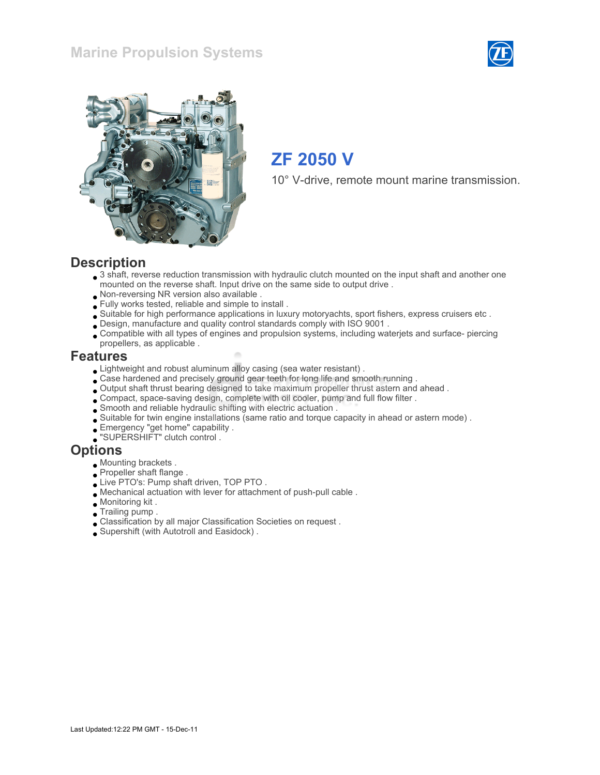### Marine Propulsion Systems





# ZF 2050 V

10° V-drive, remote mount marine transmission.

#### **Description**

- 3 shaft, reverse reduction transmission with hydraulic clutch mounted on the input shaft and another one mounted on the reverse shaft. Input drive on the same side to output drive .
- Non-reversing NR version also available .
- Fully works tested, reliable and simple to install .
- Suitable for high performance applications in luxury motoryachts, sport fishers, express cruisers etc .
- Design, manufacture and quality control standards comply with ISO 9001 .
- Compatible with all types of engines and propulsion systems, including waterjets and surface- piercing propellers, as applicable .

#### Features

- Lightweight and robust aluminum alloy casing (sea water resistant) .
- Case hardened and precisely ground gear teeth for long life and smooth running .
- Output shaft thrust bearing designed to take maximum propeller thrust astern and ahead .
- Compact, space-saving design, complete with oil cooler, pump and full flow filter .
- Smooth and reliable hydraulic shifting with electric actuation .
- Suitable for twin engine installations (same ratio and torque capacity in ahead or astern mode) .
- Emergency "get home" capability .
- "SUPERSHIFT" clutch control .

#### **Options**

- Mounting brackets .
- **Propeller shaft flange.**
- Live PTO's: Pump shaft driven, TOP PTO .
- Mechanical actuation with lever for attachment of push-pull cable .
- Monitoring kit .
- Trailing pump .
- Classification by all major Classification Societies on request .
- Supershift (with Autotroll and Easidock) .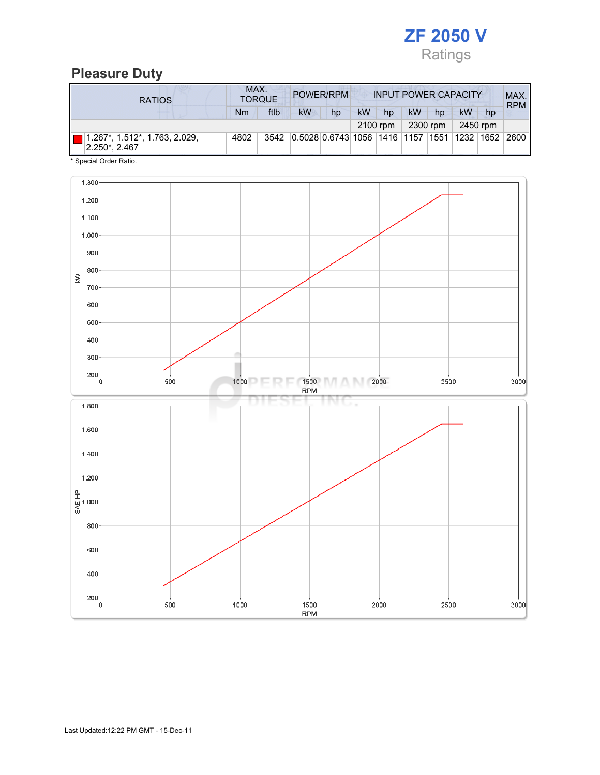

## Pleasure Duty

| <b>RATIOS</b>                                  | MAX.<br>POWER/RPM<br><b>INPUT POWER CAPACITY</b><br><b>TORQUE</b> |      |                                                  |    |    |          |    |          |    |          | MAX.<br><b>RPM</b> |
|------------------------------------------------|-------------------------------------------------------------------|------|--------------------------------------------------|----|----|----------|----|----------|----|----------|--------------------|
|                                                | Nm                                                                | ftlb | <b>kW</b>                                        | hp | kW | hp       | kW | hp       | kW | hp       |                    |
|                                                |                                                                   |      |                                                  |    |    | 2100 rpm |    | 2300 rpm |    | 2450 rpm |                    |
| 1.267*, 1.512*, 1.763, 2.029,<br>2.250*, 2.467 | 4802                                                              | 3542 | 0.5028 0.6743 1056  1416  1157  1551  1232  1652 |    |    |          |    |          |    |          | 2600               |

\* Special Order Ratio.

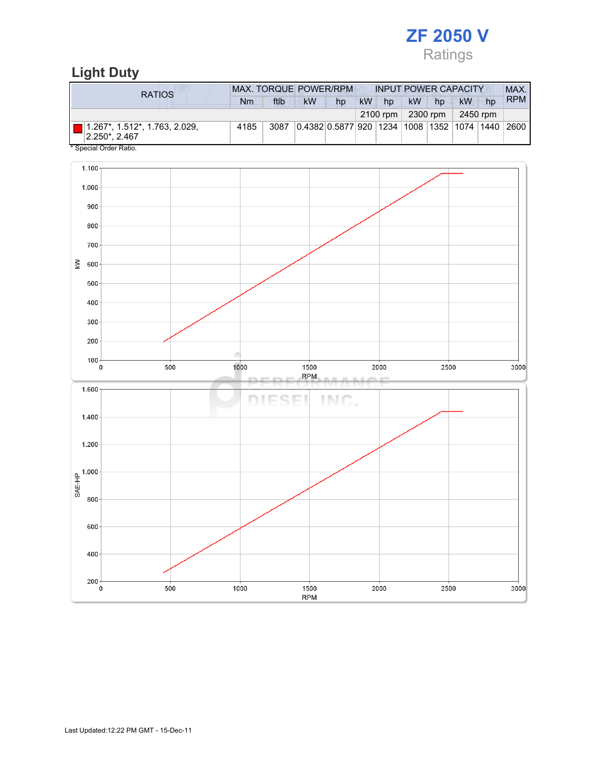

# Light Duty

| <b>RATIOS</b>                                                 | <b>MAX. TORQUE POWER/RPM</b><br><b>INPUT POWER CAPACITY</b> |      |                                                        |    |           |          |           |          |          |    |            |
|---------------------------------------------------------------|-------------------------------------------------------------|------|--------------------------------------------------------|----|-----------|----------|-----------|----------|----------|----|------------|
|                                                               | Nm                                                          | ftlb | <b>kW</b>                                              | hp | <b>kW</b> | hp       | <b>kW</b> | hp       | kW       | hp | <b>RPM</b> |
|                                                               |                                                             |      |                                                        |    |           | 2100 rpm |           | 2300 rpm | 2450 rpm |    |            |
| $\Box$ 1.267*, 1.512*, 1.763, 2.029,<br>$ 2.250^* 2.467$<br>. | 4185                                                        | 3087 | 0.4382 0.5877 920  1234  1008  1352  1074  1440   2600 |    |           |          |           |          |          |    |            |

\* Special Order Ratio.

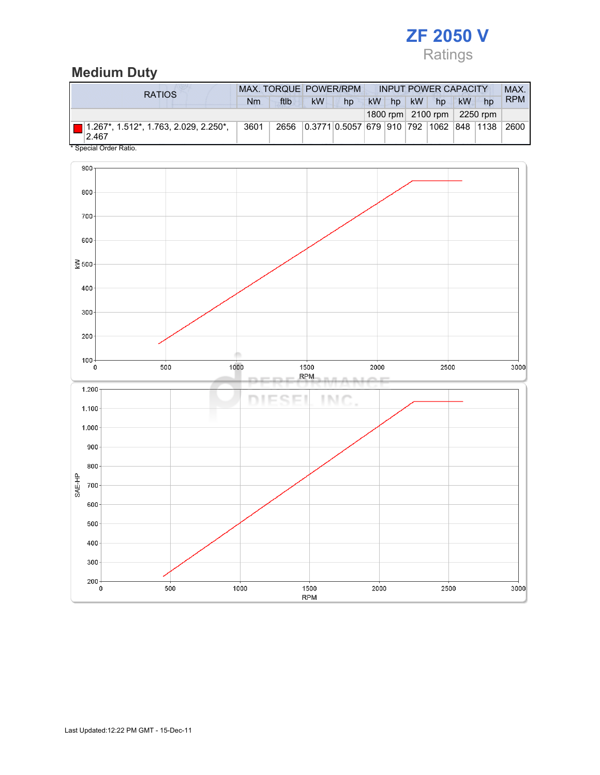

# Medium Duty

| RATIOS                                                        |      | MAX. TORQUE POWER/RPM | <b>INPUT POWER CAPACITY</b> |                                         |  |  |          |                                            | MAX. |    |            |
|---------------------------------------------------------------|------|-----------------------|-----------------------------|-----------------------------------------|--|--|----------|--------------------------------------------|------|----|------------|
|                                                               | Nm   | ftlb                  | kW                          | hp                                      |  |  | kW hp kW | hp                                         | kW   | hp | <b>RPM</b> |
|                                                               |      |                       |                             |                                         |  |  |          | 1800 rpm $\vert$ 2100 rpm $\vert$ 2250 rpm |      |    |            |
| $\blacksquare$ 1.267*, 1.512*, 1.763, 2.029, 2.250*,<br>2.467 | 3601 | 2656                  |                             | 0.3771 0.5057 679 910 792 1062 848 1138 |  |  |          |                                            |      |    | 2600       |

Special Order Ratio.

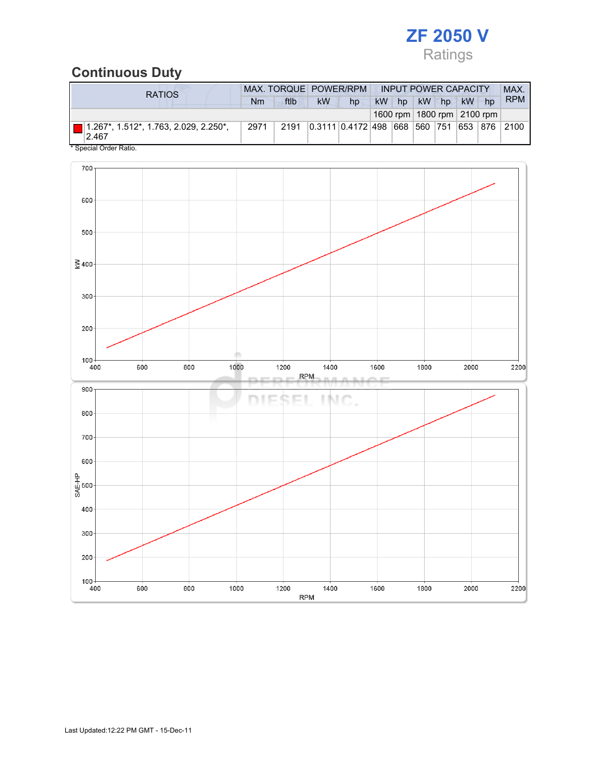

# Continuous Duty

| <b>RATIOS</b>                                                                                                 |      | MAX. TORQUE POWER/RPM |           |                               |    |    | <b>INPUT POWER CAPACITY</b> |           |                                | <b>MAX</b>       |
|---------------------------------------------------------------------------------------------------------------|------|-----------------------|-----------|-------------------------------|----|----|-----------------------------|-----------|--------------------------------|------------------|
|                                                                                                               | Nm   | ftlb                  | <b>kW</b> | hp                            | kW | hp | kW hp                       | <b>kW</b> | hp                             | <b>RPM</b>       |
|                                                                                                               |      |                       |           |                               |    |    |                             |           | 1600 rpm   1800 rpm   2100 rpm |                  |
| ■ 1.267*, 1.512*, 1.763, 2.029, 2.250*,<br>2.467<br>$\mathbf{A} \cap \mathbf{A}$ $\mathbf{A} \cap \mathbf{A}$ | 2971 | 2191                  |           | 0.3111 0.4172 498 668 560 751 |    |    |                             |           |                                | 653   876   2100 |

Special Order Ratio.

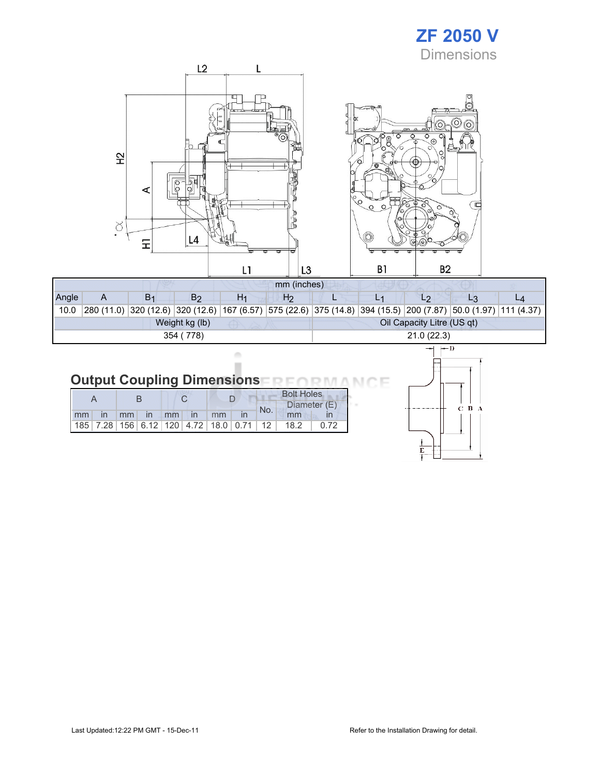# ZF 2050 V **Dimensions**



| Angle     |  | B <sub>1</sub> | B2             | H1 | H2 |                            |  |            |                                                                                                                         |  |  |  |  |
|-----------|--|----------------|----------------|----|----|----------------------------|--|------------|-------------------------------------------------------------------------------------------------------------------------|--|--|--|--|
| 10.0      |  |                |                |    |    |                            |  |            | 280 (11.0)  320 (12.6)  320 (12.6)  167 (6.57)  575 (22.6)  375 (14.8)  394 (15.5)  200 (7.87)  50.0 (1.97)  111 (4.37) |  |  |  |  |
|           |  |                | Weight kg (lb) |    |    | Oil Capacity Litre (US qt) |  |            |                                                                                                                         |  |  |  |  |
| 354 (778) |  |                |                |    |    |                            |  | 21.0(22.3) |                                                                                                                         |  |  |  |  |

#### **Output Coupling Dimensions** ìΕ **ND NA** n

ò ×

|    |                             |                   |  |  |    |                                                         | <b>Bolt Holes</b> |              |  |  |
|----|-----------------------------|-------------------|--|--|----|---------------------------------------------------------|-------------------|--------------|--|--|
|    |                             |                   |  |  |    |                                                         | No.               | Diameter (E) |  |  |
| mm | $\mathsf{in}$ $\mathsf{mm}$ | $\ln$ $\text{mm}$ |  |  | mm |                                                         |                   | mm           |  |  |
|    |                             |                   |  |  |    | 185   7.28   156   6.12   120   4.72   18.0   0.71   12 |                   | 18.2         |  |  |